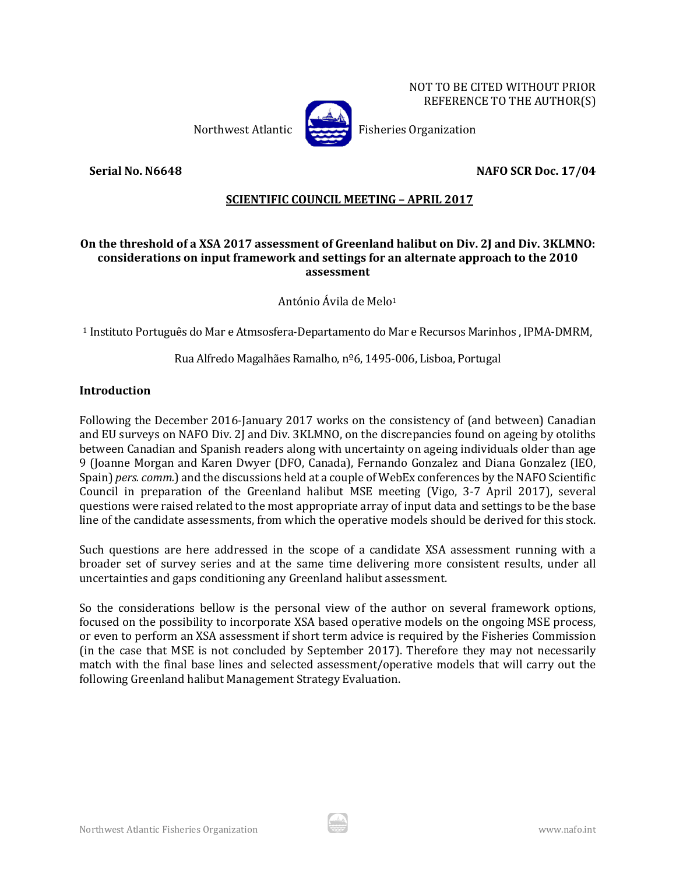NOT TO BE CITED WITHOUT PRIOR REFERENCE TO THE AUTHOR(S)



Northwest Atlantic Fisheries Organization

**Serial No. N6648 NAFO SCR Doc. 17/04**

# **SCIENTIFIC COUNCIL MEETING – APRIL 2017**

### **On the threshold of a XSA 2017 assessment of Greenland halibut on Div. 2J and Div. 3KLMNO: considerations on input framework and settings for an alternate approach to the 2010 assessment**

António Ávila de Melo1

<sup>1</sup> Instituto Português do Mar e Atmsosfera-Departamento do Mar e Recursos Marinhos , IPMA-DMRM,

#### Rua Alfredo Magalhães Ramalho, nº6, 1495-006, Lisboa, Portugal

#### **Introduction**

Following the December 2016-January 2017 works on the consistency of (and between) Canadian and EU surveys on NAFO Div. 2J and Div. 3KLMNO, on the discrepancies found on ageing by otoliths between Canadian and Spanish readers along with uncertainty on ageing individuals older than age 9 (Joanne Morgan and Karen Dwyer (DFO, Canada), Fernando Gonzalez and Diana Gonzalez (IEO, Spain) *pers. comm.*) and the discussions held at a couple of WebEx conferences by the NAFO Scientific Council in preparation of the Greenland halibut MSE meeting (Vigo, 3-7 April 2017), several questions were raised related to the most appropriate array of input data and settings to be the base line of the candidate assessments, from which the operative models should be derived for this stock.

Such questions are here addressed in the scope of a candidate XSA assessment running with a broader set of survey series and at the same time delivering more consistent results, under all uncertainties and gaps conditioning any Greenland halibut assessment.

So the considerations bellow is the personal view of the author on several framework options, focused on the possibility to incorporate XSA based operative models on the ongoing MSE process, or even to perform an XSA assessment if short term advice is required by the Fisheries Commission (in the case that MSE is not concluded by September 2017). Therefore they may not necessarily match with the final base lines and selected assessment/operative models that will carry out the following Greenland halibut Management Strategy Evaluation.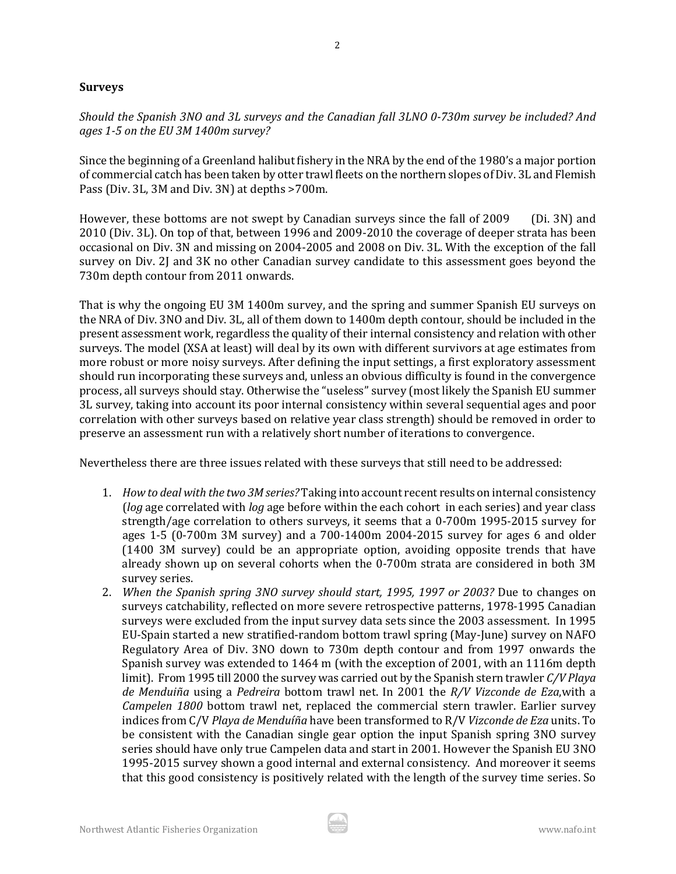#### **Surveys**

*Should the Spanish 3NO and 3L surveys and the Canadian fall 3LNO 0-730m survey be included? And ages 1-5 on the EU 3M 1400m survey?*

Since the beginning of a Greenland halibut fishery in the NRA by the end of the 1980's a major portion of commercial catch has been taken by otter trawl fleets on the northern slopes of Div. 3L and Flemish Pass (Div. 3L, 3M and Div. 3N) at depths >700m.

However, these bottoms are not swept by Canadian surveys since the fall of 2009 (Di. 3N) and 2010 (Div. 3L). On top of that, between 1996 and 2009-2010 the coverage of deeper strata has been occasional on Div. 3N and missing on 2004-2005 and 2008 on Div. 3L. With the exception of the fall survey on Div. 2J and 3K no other Canadian survey candidate to this assessment goes beyond the 730m depth contour from 2011 onwards.

That is why the ongoing EU 3M 1400m survey, and the spring and summer Spanish EU surveys on the NRA of Div. 3NO and Div. 3L, all of them down to 1400m depth contour, should be included in the present assessment work, regardless the quality of their internal consistency and relation with other surveys. The model (XSA at least) will deal by its own with different survivors at age estimates from more robust or more noisy surveys. After defining the input settings, a first exploratory assessment should run incorporating these surveys and, unless an obvious difficulty is found in the convergence process, all surveys should stay. Otherwise the "useless" survey (most likely the Spanish EU summer 3L survey, taking into account its poor internal consistency within several sequential ages and poor correlation with other surveys based on relative year class strength) should be removed in order to preserve an assessment run with a relatively short number of iterations to convergence.

Nevertheless there are three issues related with these surveys that still need to be addressed:

- 1. *How to deal with the two 3M series?* Taking into account recent results on internal consistency (*log* age correlated with *log* age before within the each cohort in each series) and year class strength/age correlation to others surveys, it seems that a 0-700m 1995-2015 survey for ages 1-5 (0-700m 3M survey) and a 700-1400m 2004-2015 survey for ages 6 and older (1400 3M survey) could be an appropriate option, avoiding opposite trends that have already shown up on several cohorts when the 0-700m strata are considered in both 3M survey series.
- 2. *When the Spanish spring 3NO survey should start, 1995, 1997 or 2003?* Due to changes on surveys catchability, reflected on more severe retrospective patterns, 1978-1995 Canadian surveys were excluded from the input survey data sets since the 2003 assessment. In 1995 EU-Spain started a new stratified-random bottom trawl spring (May-June) survey on NAFO Regulatory Area of Div. 3NO down to 730m depth contour and from 1997 onwards the Spanish survey was extended to 1464 m (with the exception of 2001, with an 1116m depth limit). From 1995 till 2000 the survey was carried out by the Spanish stern trawler *C/V Playa de Menduiña* using a *Pedreira* bottom trawl net. In 2001 the *R/V Vizconde de Eza*,with a *Campelen 1800* bottom trawl net, replaced the commercial stern trawler. Earlier survey indices from C/V *Playa de Menduíña* have been transformed to R/V *Vizconde de Eza* units. To be consistent with the Canadian single gear option the input Spanish spring 3NO survey series should have only true Campelen data and start in 2001. However the Spanish EU 3NO 1995-2015 survey shown a good internal and external consistency. And moreover it seems that this good consistency is positively related with the length of the survey time series. So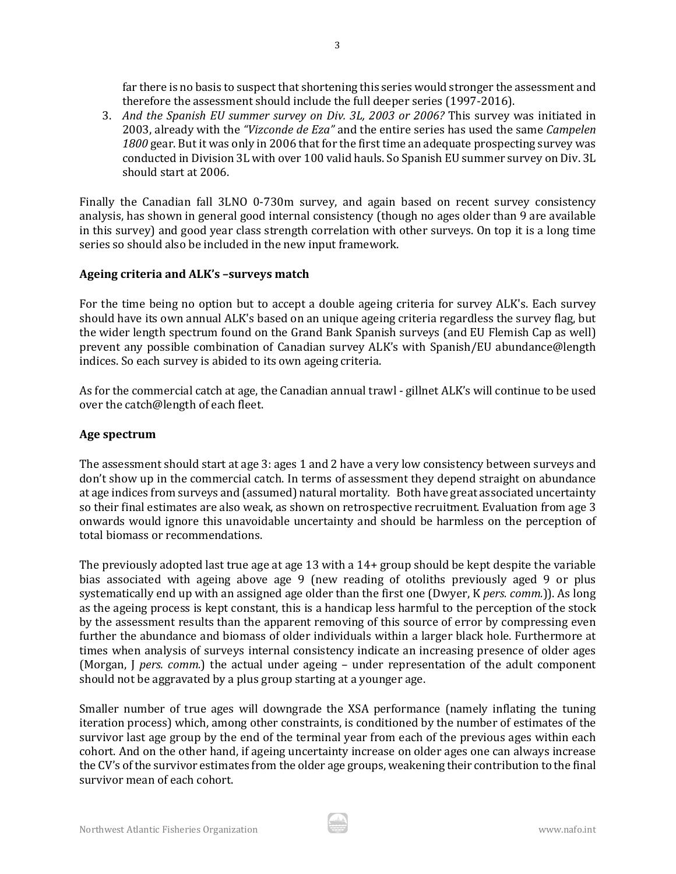far there is no basis to suspect that shortening this series would stronger the assessment and therefore the assessment should include the full deeper series (1997-2016).

3. *And the Spanish EU summer survey on Div. 3L, 2003 or 2006?* This survey was initiated in 2003, already with the *"Vizconde de Eza"* and the entire series has used the same *Campelen 1800* gear. But it was only in 2006 that for the first time an adequate prospecting survey was conducted in Division 3L with over 100 valid hauls. So Spanish EU summer survey on Div. 3L should start at 2006.

Finally the Canadian fall 3LNO 0-730m survey, and again based on recent survey consistency analysis, has shown in general good internal consistency (though no ages older than 9 are available in this survey) and good year class strength correlation with other surveys. On top it is a long time series so should also be included in the new input framework.

#### **Ageing criteria and ALK's –surveys match**

For the time being no option but to accept a double ageing criteria for survey ALK's. Each survey should have its own annual ALK's based on an unique ageing criteria regardless the survey flag, but the wider length spectrum found on the Grand Bank Spanish surveys (and EU Flemish Cap as well) prevent any possible combination of Canadian survey ALK's with Spanish/EU abundance@length indices. So each survey is abided to its own ageing criteria.

As for the commercial catch at age, the Canadian annual trawl - gillnet ALK's will continue to be used over the catch@length of each fleet.

#### **Age spectrum**

The assessment should start at age 3: ages 1 and 2 have a very low consistency between surveys and don't show up in the commercial catch. In terms of assessment they depend straight on abundance at age indices from surveys and (assumed) natural mortality*.* Both have great associated uncertainty so their final estimates are also weak, as shown on retrospective recruitment. Evaluation from age 3 onwards would ignore this unavoidable uncertainty and should be harmless on the perception of total biomass or recommendations.

The previously adopted last true age at age 13 with a 14+ group should be kept despite the variable bias associated with ageing above age 9 (new reading of otoliths previously aged 9 or plus systematically end up with an assigned age older than the first one (Dwyer, K *pers. comm.*)). As long as the ageing process is kept constant, this is a handicap less harmful to the perception of the stock by the assessment results than the apparent removing of this source of error by compressing even further the abundance and biomass of older individuals within a larger black hole. Furthermore at times when analysis of surveys internal consistency indicate an increasing presence of older ages (Morgan, J *pers. comm.*) the actual under ageing – under representation of the adult component should not be aggravated by a plus group starting at a younger age.

Smaller number of true ages will downgrade the XSA performance (namely inflating the tuning iteration process) which, among other constraints, is conditioned by the number of estimates of the survivor last age group by the end of the terminal year from each of the previous ages within each cohort. And on the other hand, if ageing uncertainty increase on older ages one can always increase the CV's of the survivor estimates from the older age groups, weakening their contribution to the final survivor mean of each cohort.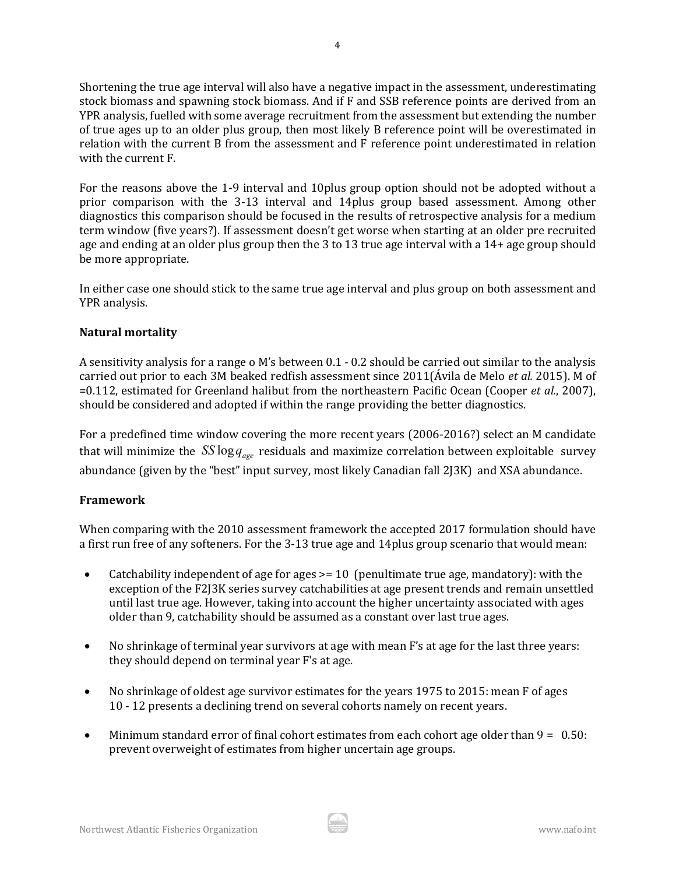Shortening the true age interval will also have a negative impact in the assessment, underestimating stock biomass and spawning stock biomass. And if F and SSB reference points are derived from an YPR analysis, fuelled with some average recruitment from the assessment but extending the number of true ages up to an older plus group, then most likely B reference point will be overestimated in relation with the current B from the assessment and F reference point underestimated in relation with the current F.

For the reasons above the 1-9 interval and 10plus group option should not be adopted without a prior comparison with the 3-13 interval and 14plus group based assessment. Among other diagnostics this comparison should be focused in the results of retrospective analysis for a medium term window (five years?). If assessment doesn't get worse when starting at an older pre recruited age and ending at an older plus group then the 3 to 13 true age interval with a 14+ age group should be more appropriate.

In either case one should stick to the same true age interval and plus group on both assessment and YPR analysis.

## **Natural mortality**

A sensitivity analysis for a range o M's between 0.1 - 0.2 should be carried out similar to the analysis carried out prior to each 3M beaked redfish assessment since 2011(Ávila de Melo *et al.* 2015). M of =0.112, estimated for Greenland halibut from the northeastern Pacific Ocean (Cooper *et al.*, 2007), should be considered and adopted if within the range providing the better diagnostics.

For a predefined time window covering the more recent years (2006-2016?) select an M candidate that will minimize the  $SS \log q_{\text{age}}$  residuals and maximize correlation between exploitable survey abundance (given by the "best" input survey, most likely Canadian fall 2J3K) and XSA abundance.

# **Framework**

When comparing with the 2010 assessment framework the accepted 2017 formulation should have a first run free of any softeners. For the 3-13 true age and 14plus group scenario that would mean:

- Catchability independent of age for ages > = 10 (penultimate true age, mandatory): with the exception of the F2J3K series survey catchabilities at age present trends and remain unsettled until last true age. However, taking into account the higher uncertainty associated with ages older than 9, catchability should be assumed as a constant over last true ages.
- No shrinkage of terminal year survivors at age with mean F's at age for the last three years: they should depend on terminal year F's at age.
- No shrinkage of oldest age survivor estimates for the years 1975 to 2015: mean F of ages 10 - 12 presents a declining trend on several cohorts namely on recent years.
- Minimum standard error of final cohort estimates from each cohort age older than  $9 = 0.50$ : prevent overweight of estimates from higher uncertain age groups.